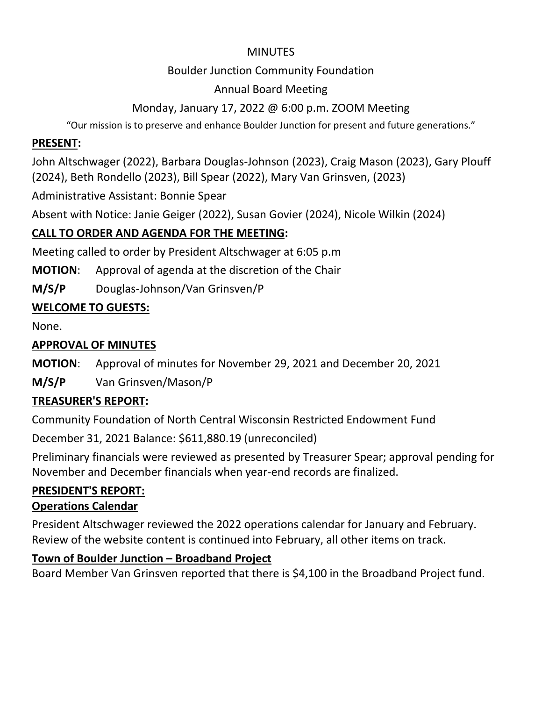## MINUTES

## Boulder Junction Community Foundation

## Annual Board Meeting

# Monday, January 17, 2022 @ 6:00 p.m. ZOOM Meeting

"Our mission is to preserve and enhance Boulder Junction for present and future generations."

## **PRESENT:**

John Altschwager (2022), Barbara Douglas-Johnson (2023), Craig Mason (2023), Gary Plouff (2024), Beth Rondello (2023), Bill Spear (2022), Mary Van Grinsven, (2023)

Administrative Assistant: Bonnie Spear

Absent with Notice: Janie Geiger (2022), Susan Govier (2024), Nicole Wilkin (2024)

# **CALL TO ORDER AND AGENDA FOR THE MEETING:**

Meeting called to order by President Altschwager at 6:05 p.m

**MOTION**: Approval of agenda at the discretion of the Chair

**M/S/P** Douglas-Johnson/Van Grinsven/P

# **WELCOME TO GUESTS:**

None.

# **APPROVAL OF MINUTES**

**MOTION**: Approval of minutes for November 29, 2021 and December 20, 2021

**M/S/P** Van Grinsven/Mason/P

# **TREASURER'S REPORT:**

Community Foundation of North Central Wisconsin Restricted Endowment Fund

December 31, 2021 Balance: \$611,880.19 (unreconciled)

Preliminary financials were reviewed as presented by Treasurer Spear; approval pending for November and December financials when year-end records are finalized.

# **PRESIDENT'S REPORT:**

# **Operations Calendar**

President Altschwager reviewed the 2022 operations calendar for January and February. Review of the website content is continued into February, all other items on track.

# **Town of Boulder Junction – Broadband Project**

Board Member Van Grinsven reported that there is \$4,100 in the Broadband Project fund.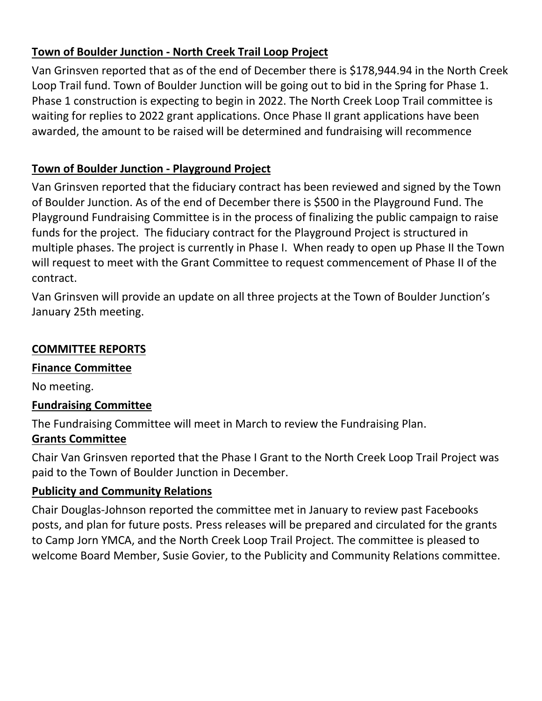## **Town of Boulder Junction - North Creek Trail Loop Project**

Van Grinsven reported that as of the end of December there is \$178,944.94 in the North Creek Loop Trail fund. Town of Boulder Junction will be going out to bid in the Spring for Phase 1. Phase 1 construction is expecting to begin in 2022. The North Creek Loop Trail committee is waiting for replies to 2022 grant applications. Once Phase II grant applications have been awarded, the amount to be raised will be determined and fundraising will recommence

## **Town of Boulder Junction - Playground Project**

Van Grinsven reported that the fiduciary contract has been reviewed and signed by the Town of Boulder Junction. As of the end of December there is \$500 in the Playground Fund. The Playground Fundraising Committee is in the process of finalizing the public campaign to raise funds for the project. The fiduciary contract for the Playground Project is structured in multiple phases. The project is currently in Phase I. When ready to open up Phase II the Town will request to meet with the Grant Committee to request commencement of Phase II of the contract.

Van Grinsven will provide an update on all three projects at the Town of Boulder Junction's January 25th meeting.

## **COMMITTEE REPORTS**

## **Finance Committee**

No meeting.

## **Fundraising Committee**

The Fundraising Committee will meet in March to review the Fundraising Plan.

## **Grants Committee**

Chair Van Grinsven reported that the Phase I Grant to the North Creek Loop Trail Project was paid to the Town of Boulder Junction in December.

## **Publicity and Community Relations**

Chair Douglas-Johnson reported the committee met in January to review past Facebooks posts, and plan for future posts. Press releases will be prepared and circulated for the grants to Camp Jorn YMCA, and the North Creek Loop Trail Project. The committee is pleased to welcome Board Member, Susie Govier, to the Publicity and Community Relations committee.